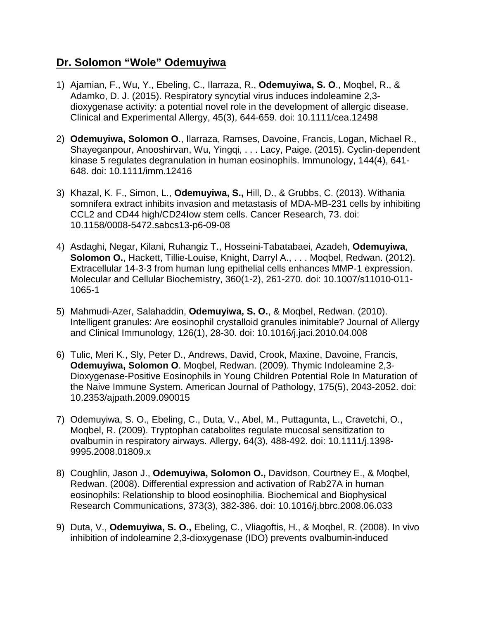## **Dr. Solomon "Wole" Odemuyiwa**

- 1) Ajamian, F., Wu, Y., Ebeling, C., Ilarraza, R., **Odemuyiwa, S. O**., Moqbel, R., & Adamko, D. J. (2015). Respiratory syncytial virus induces indoleamine 2,3 dioxygenase activity: a potential novel role in the development of allergic disease. Clinical and Experimental Allergy, 45(3), 644-659. doi: 10.1111/cea.12498
- 2) **Odemuyiwa, Solomon O**., Ilarraza, Ramses, Davoine, Francis, Logan, Michael R., Shayeganpour, Anooshirvan, Wu, Yingqi, . . . Lacy, Paige. (2015). Cyclin-dependent kinase 5 regulates degranulation in human eosinophils. Immunology, 144(4), 641- 648. doi: 10.1111/imm.12416
- 3) Khazal, K. F., Simon, L., **Odemuyiwa, S.,** Hill, D., & Grubbs, C. (2013). Withania somnifera extract inhibits invasion and metastasis of MDA-MB-231 cells by inhibiting CCL2 and CD44 high/CD24Iow stem cells. Cancer Research, 73. doi: 10.1158/0008-5472.sabcs13-p6-09-08
- 4) Asdaghi, Negar, Kilani, Ruhangiz T., Hosseini-Tabatabaei, Azadeh, **Odemuyiwa**, **Solomon O.**, Hackett, Tillie-Louise, Knight, Darryl A., . . . Moqbel, Redwan. (2012). Extracellular 14-3-3 from human lung epithelial cells enhances MMP-1 expression. Molecular and Cellular Biochemistry, 360(1-2), 261-270. doi: 10.1007/s11010-011- 1065-1
- 5) Mahmudi-Azer, Salahaddin, **Odemuyiwa, S. O.**, & Moqbel, Redwan. (2010). Intelligent granules: Are eosinophil crystalloid granules inimitable? Journal of Allergy and Clinical Immunology, 126(1), 28-30. doi: 10.1016/j.jaci.2010.04.008
- 6) Tulic, Meri K., Sly, Peter D., Andrews, David, Crook, Maxine, Davoine, Francis, **Odemuyiwa, Solomon O**. Moqbel, Redwan. (2009). Thymic Indoleamine 2,3- Dioxygenase-Positive Eosinophils in Young Children Potential Role In Maturation of the Naive Immune System. American Journal of Pathology, 175(5), 2043-2052. doi: 10.2353/ajpath.2009.090015
- 7) Odemuyiwa, S. O., Ebeling, C., Duta, V., Abel, M., Puttagunta, L., Cravetchi, O., Moqbel, R. (2009). Tryptophan catabolites regulate mucosal sensitization to ovalbumin in respiratory airways. Allergy, 64(3), 488-492. doi: 10.1111/j.1398- 9995.2008.01809.x
- 8) Coughlin, Jason J., **Odemuyiwa, Solomon O.,** Davidson, Courtney E., & Moqbel, Redwan. (2008). Differential expression and activation of Rab27A in human eosinophils: Relationship to blood eosinophilia. Biochemical and Biophysical Research Communications, 373(3), 382-386. doi: 10.1016/j.bbrc.2008.06.033
- 9) Duta, V., **Odemuyiwa, S. O.,** Ebeling, C., Vliagoftis, H., & Moqbel, R. (2008). In vivo inhibition of indoleamine 2,3-dioxygenase (IDO) prevents ovalbumin-induced